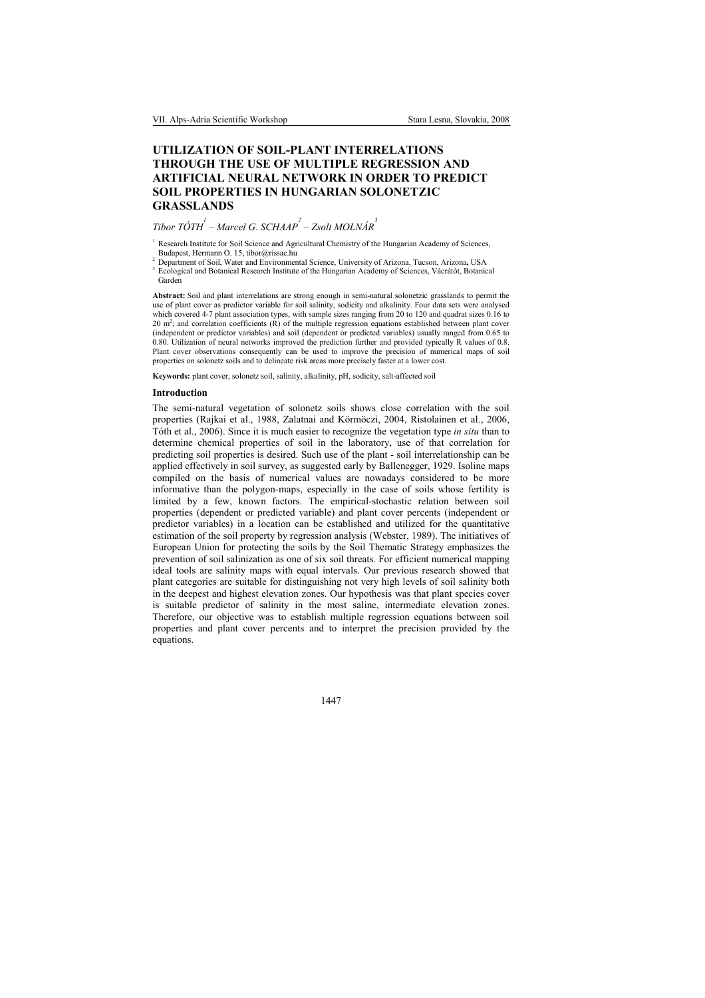## UTILIZATION OF SOIL-PLANT INTERRELATIONS THROUGH THE USE OF MULTIPLE REGRESSION AND ARTIFICIAL NEURAL NETWORK IN ORDER TO PREDICT SOIL PROPERTIES IN HUNGARIAN SOLONETZIC **GRASSLANDS**

# Tibor TÓTH  $^{\prime}$  – Marcel G. SCHAAP  $^2$  – Zsolt MOLNÁR  $^3$

<sup>1</sup> Research Institute for Soil Science and Agricultural Chemistry of the Hungarian Academy of Sciences, Budapest, Hermann O. 15, tibor@rissac.hu

<sup>2</sup> Department of Soil, Water and Environmental Science, University of Arizona, Tucson, Arizona, USA  $\frac{3}{2}$  Ecclesiael and Botanical Because Institute of the Hungerian Acedemy of Sciences *Vécrétét* Botanic

 Ecological and Botanical Research Institute of the Hungarian Academy of Sciences, Vácrátót, Botanical Garden

Abstract: Soil and plant interrelations are strong enough in semi-natural solonetzic grasslands to permit the use of plant cover as predictor variable for soil salinity, sodicity and alkalinity. Four data sets were analysed which covered 4-7 plant association types, with sample sizes ranging from 20 to 120 and quadrat sizes 0.16 to 20 m<sup>2</sup>; and correlation coefficients (R) of the multiple regression equations established between plant cover (independent or predictor variables) and soil (dependent or predicted variables) usually ranged from 0.65 to 0.80. Utilization of neural networks improved the prediction further and provided typically R values of 0.8. Plant cover observations consequently can be used to improve the precision of numerical maps of soil properties on solonetz soils and to delineate risk areas more precisely faster at a lower cost.

Keywords: plant cover, solonetz soil, salinity, alkalinity, pH, sodicity, salt-affected soil

#### Introduction

The semi-natural vegetation of solonetz soils shows close correlation with the soil properties (Rajkai et al., 1988, Zalatnai and Körmöczi, 2004, Ristolainen et al., 2006, Tóth et al., 2006). Since it is much easier to recognize the vegetation type in situ than to determine chemical properties of soil in the laboratory, use of that correlation for predicting soil properties is desired. Such use of the plant - soil interrelationship can be applied effectively in soil survey, as suggested early by Ballenegger, 1929. Isoline maps compiled on the basis of numerical values are nowadays considered to be more informative than the polygon-maps, especially in the case of soils whose fertility is limited by a few, known factors. The empirical-stochastic relation between soil properties (dependent or predicted variable) and plant cover percents (independent or predictor variables) in a location can be established and utilized for the quantitative estimation of the soil property by regression analysis (Webster, 1989). The initiatives of European Union for protecting the soils by the Soil Thematic Strategy emphasizes the prevention of soil salinization as one of six soil threats. For efficient numerical mapping ideal tools are salinity maps with equal intervals. Our previous research showed that plant categories are suitable for distinguishing not very high levels of soil salinity both in the deepest and highest elevation zones. Our hypothesis was that plant species cover is suitable predictor of salinity in the most saline, intermediate elevation zones. Therefore, our objective was to establish multiple regression equations between soil properties and plant cover percents and to interpret the precision provided by the equations.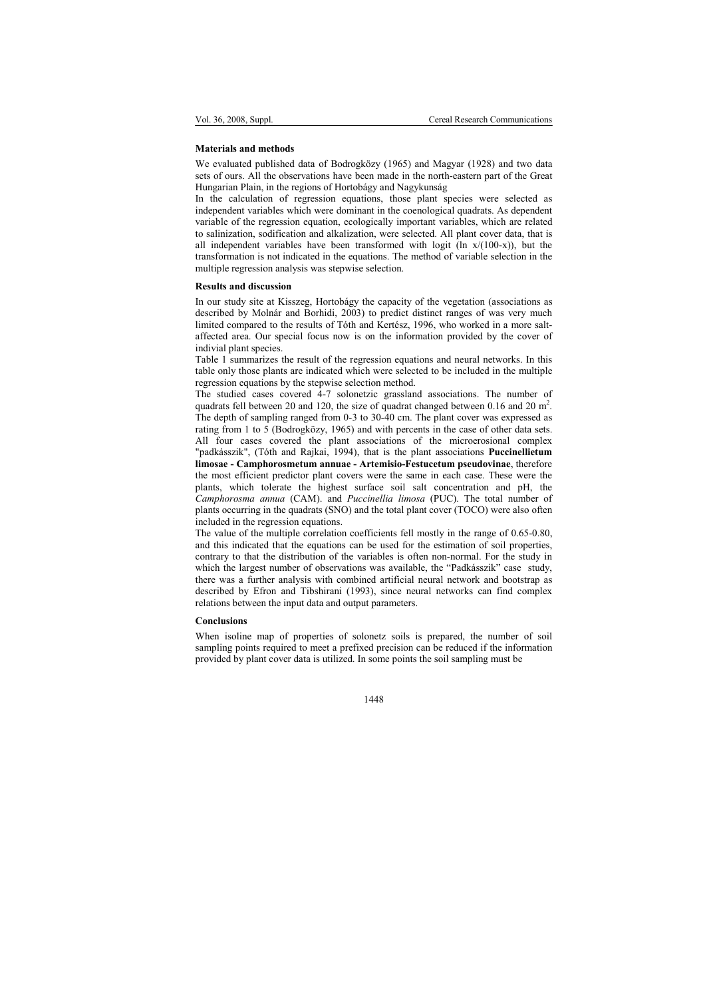#### Materials and methods

We evaluated published data of Bodrogközy (1965) and Magyar (1928) and two data sets of ours. All the observations have been made in the north-eastern part of the Great Hungarian Plain, in the regions of Hortobágy and Nagykunság

In the calculation of regression equations, those plant species were selected as independent variables which were dominant in the coenological quadrats. As dependent variable of the regression equation, ecologically important variables, which are related to salinization, sodification and alkalization, were selected. All plant cover data, that is all independent variables have been transformed with logit (ln  $x/(100-x)$ ), but the transformation is not indicated in the equations. The method of variable selection in the multiple regression analysis was stepwise selection.

#### Results and discussion

In our study site at Kisszeg, Hortobágy the capacity of the vegetation (associations as described by Molnár and Borhidi, 2003) to predict distinct ranges of was very much limited compared to the results of Tóth and Kertész, 1996, who worked in a more saltaffected area. Our special focus now is on the information provided by the cover of indivial plant species.

Table 1 summarizes the result of the regression equations and neural networks. In this table only those plants are indicated which were selected to be included in the multiple regression equations by the stepwise selection method.

The studied cases covered 4-7 solonetzic grassland associations. The number of quadrats fell between 20 and 120, the size of quadrat changed between  $0.16$  and  $20$  m<sup>2</sup>. The depth of sampling ranged from 0-3 to 30-40 cm. The plant cover was expressed as rating from 1 to 5 (Bodrogközy, 1965) and with percents in the case of other data sets. All four cases covered the plant associations of the microerosional complex "padkásszik", (Tóth and Rajkai, 1994), that is the plant associations Puccinellietum limosae - Camphorosmetum annuae - Artemisio-Festucetum pseudovinae, therefore the most efficient predictor plant covers were the same in each case. These were the plants, which tolerate the highest surface soil salt concentration and pH, the Camphorosma annua (CAM). and Puccinellia limosa (PUC). The total number of plants occurring in the quadrats (SNO) and the total plant cover (TOCO) were also often included in the regression equations.

The value of the multiple correlation coefficients fell mostly in the range of 0.65-0.80, and this indicated that the equations can be used for the estimation of soil properties, contrary to that the distribution of the variables is often non-normal. For the study in which the largest number of observations was available, the "Padkásszik" case study, there was a further analysis with combined artificial neural network and bootstrap as described by Efron and Tibshirani (1993), since neural networks can find complex relations between the input data and output parameters.

#### Conclusions

When isoline map of properties of solonetz soils is prepared, the number of soil sampling points required to meet a prefixed precision can be reduced if the information provided by plant cover data is utilized. In some points the soil sampling must be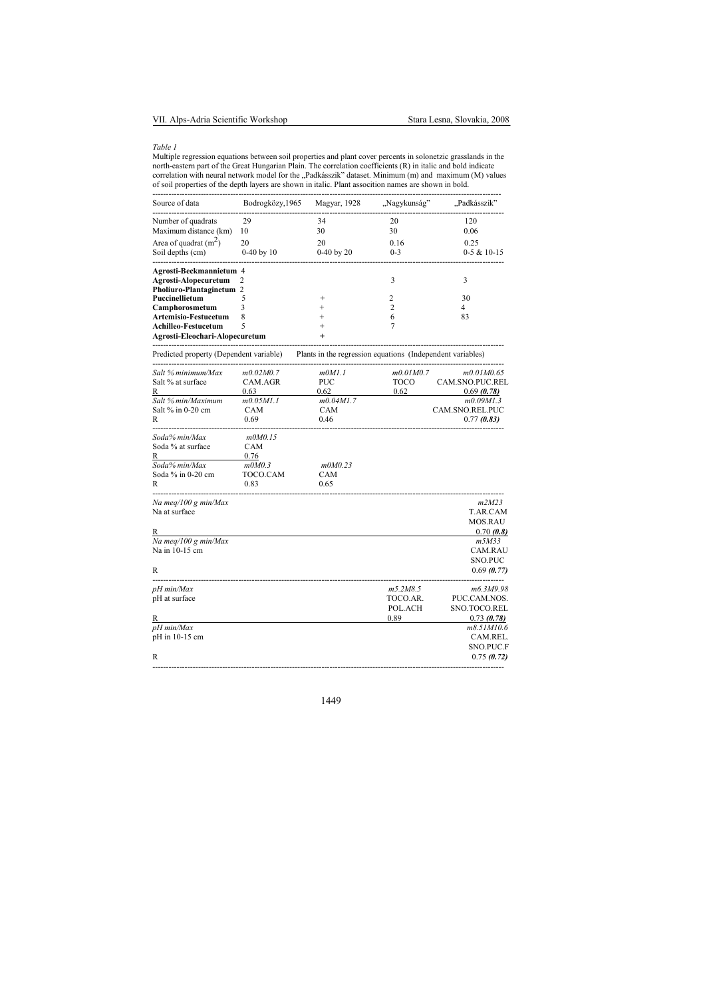### Table 1

Multiple regression equations between soil properties and plant cover percents in solonetzic grasslands in the<br>north-eastern part of the Great Hungarian Plain. The correlation coefficients (R) in italic and bold indicate<br>c

| Source of data                 | Bodrogközy, 1965 | Magyar, 1928   | "Nagykunság" | "Padkásszik"  |
|--------------------------------|------------------|----------------|--------------|---------------|
| Number of quadrats             | 29               | 34             | 20           | 120           |
| Maximum distance (km)          | 10               | 30             | 30           | 0.06          |
| Area of quadrat $(m2)$         | 20               | 20             | 0.16         | 0.25          |
| Soil depths (cm)               | $0-40$ by 10     | $0-40$ by $20$ | $0-3$        | $0-5 & 10-15$ |
| Agrosti-Beckmannietum 4        |                  |                |              |               |
| Agrosti-Alopecuretum           |                  |                |              |               |
| Pholiuro-Plantaginetum 2       |                  |                |              |               |
| Puccinellietum                 |                  |                | C            | 30            |
| Camphorosmetum                 |                  |                |              | 4             |
| <b>Artemisio-Festucetum</b>    |                  |                |              | 83            |
| Achilleo-Festucetum            |                  |                |              |               |
| Agrosti-Eleochari-Alopecuretum |                  | $\ddot{}$      |              |               |

----------------------------------------------------------------------------------------------------------------------------------- Predicted property (Dependent variable) Plants in the regression equations (Independent variables)

| Salt % minimum/Max   | m0.02M0.7  | m0M1.1     | m0.01M0.7   | m0.01M0.65       |
|----------------------|------------|------------|-------------|------------------|
| Salt % at surface    | CAM.AGR    | <b>PUC</b> | <b>TOCO</b> | CAM.SNO.PUC.REL  |
| R                    | 0.63       | 0.62       | 0.62        | 0.69(0.78)       |
| Salt % min/Maximum   | m0.05M1.1  | m0.04M1.7  |             | m0.09M1.3        |
| Salt % in 0-20 cm    | <b>CAM</b> | CAM        |             | CAM.SNO.REL.PUC  |
| R                    | 0.69       | 0.46       |             | 0.77(0.83)       |
| Soda% min/Max        | m0M0.15    |            |             |                  |
| Soda % at surface    | CAM        |            |             |                  |
| R                    | 0.76       |            |             |                  |
| Soda% min/Max        | mOMO.3     | m0M0.23    |             |                  |
| Soda $%$ in 0-20 cm  | TOCO.CAM   | <b>CAM</b> |             |                  |
| R                    | 0.83       | 0.65       |             |                  |
| Na meg/100 g min/Max |            |            |             | m2M23            |
| Na at surface        |            |            |             | T.AR.CAM         |
|                      |            |            |             | <b>MOS.RAU</b>   |
| R                    |            |            |             | 0.70(0.8)        |
| Na meg/100 g min/Max |            |            |             | m5M33            |
| Na in 10-15 cm       |            |            |             | <b>CAM.RAU</b>   |
|                      |            |            |             | <b>SNO.PUC</b>   |
| R                    |            |            |             | 0.69(0.77)       |
| pH min/Max           |            |            | m5.2M8.5    | m6.3M9.98        |
| pH at surface        |            |            | TOCO.AR.    | PUC.CAM.NOS.     |
|                      |            |            | POL.ACH     | SNO.TOCO.REL     |
| R                    |            |            | 0.89        | 0.73(0.78)       |
| pH min/Max           |            |            |             | m8.51M10.6       |
| pH in 10-15 cm       |            |            |             | CAM.REL.         |
|                      |            |            |             | <b>SNO.PUC.F</b> |
| R                    |            |            |             | 0.75(0.72)       |